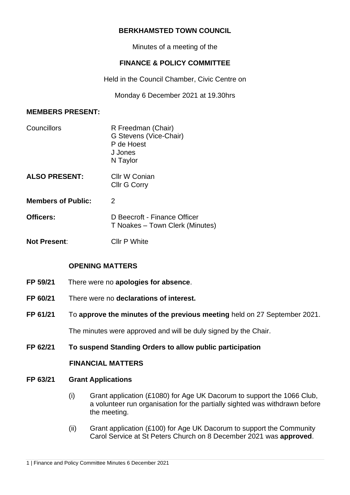# **BERKHAMSTED TOWN COUNCIL**

Minutes of a meeting of the

# **FINANCE & POLICY COMMITTEE**

Held in the Council Chamber, Civic Centre on

Monday 6 December 2021 at 19.30hrs

#### **MEMBERS PRESENT:**

| Councillors               | R Freedman (Chair)<br>G Stevens (Vice-Chair)<br>P de Hoest<br>J Jones<br>N Taylor |  |
|---------------------------|-----------------------------------------------------------------------------------|--|
| <b>ALSO PRESENT:</b>      | Cllr W Conian<br><b>Cllr G Corry</b>                                              |  |
| <b>Members of Public:</b> | 2                                                                                 |  |
| Officers:                 | D Beecroft - Finance Officer<br>T Noakes - Town Clerk (Minutes)                   |  |
| <b>Not Present:</b>       | Cllr P White                                                                      |  |

## **OPENING MATTERS**

- **FP 59/21** There were no **apologies for absence**.
- **FP 60/21** There were no **declarations of interest.**
- **FP 61/21** To **approve the minutes of the previous meeting** held on 27 September 2021.

The minutes were approved and will be duly signed by the Chair.

## **FP 62/21 To suspend Standing Orders to allow public participation**

# **FINANCIAL MATTERS**

#### **FP 63/21 Grant Applications**

- (i) Grant application (£1080) for Age UK Dacorum to support the 1066 Club, a volunteer run organisation for the partially sighted was withdrawn before the meeting.
- (ii) Grant application (£100) for Age UK Dacorum to support the Community Carol Service at St Peters Church on 8 December 2021 was **approved**.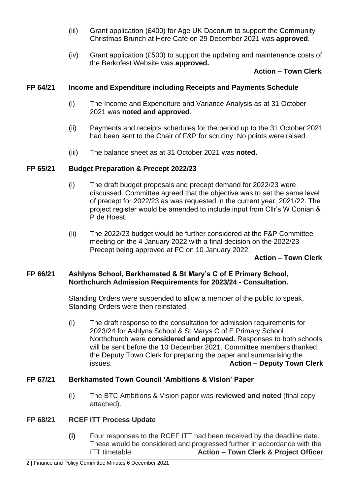- (iii) Grant application (£400) for Age UK Dacorum to support the Community Christmas Brunch at Here Café on 29 December 2021 was **approved**.
- (iv) Grant application (£500) to support the updating and maintenance costs of the Berkofest Website was **approved.**

## **Action – Town Clerk**

## **FP 64/21 Income and Expenditure including Receipts and Payments Schedule**

- (i) The Income and Expenditure and Variance Analysis as at 31 October 2021 was **noted and approved**.
- (ii) Payments and receipts schedules for the period up to the 31 October 2021 had been sent to the Chair of F&P for scrutiny. No points were raised.
- (iii) The balance sheet as at 31 October 2021 was **noted.**

#### **FP 65/21 Budget Preparation & Precept 2022/23**

- (i) The draft budget proposals and precept demand for 2022/23 were discussed. Committee agreed that the objective was to set the same level of precept for 2022/23 as was requested in the current year, 2021/22. The project register would be amended to include input from Cllr's W Conian & P de Hoest.
- (ii) The 2022/23 budget would be further considered at the F&P Committee meeting on the 4 January 2022 with a final decision on the 2022/23 Precept being approved at FC on 10 January 2022.

#### **Action – Town Clerk**

## **FP 66/21 Ashlyns School, Berkhamsted & St Mary's C of E Primary School, Northchurch Admission Requirements for 2023/24 - Consultation.**

Standing Orders were suspended to allow a member of the public to speak. Standing Orders were then reinstated.

(i) The draft response to the consultation for admission requirements for 2023/24 for Ashlyns School & St Marys C of E Primary School Northchurch were **considered and approved.** Responses to both schools will be sent before the 10 December 2021. Committee members thanked the Deputy Town Clerk for preparing the paper and summarising the issues. **Action – Deputy Town Clerk**

## **FP 67/21 Berkhamsted Town Council 'Ambitions & Vision' Paper**

(i) The BTC Ambitions & Vision paper was **reviewed and noted** (final copy attached).

## **FP 68/21 RCEF ITT Process Update**

**(i)** Four responses to the RCEF ITT had been received by the deadline date. These would be considered and progressed further in accordance with the ITT timetable. **Action – Town Clerk & Project Officer**